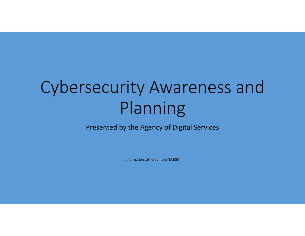# Cybersecurity Awareness and Planning

Presented by the Agency of Digital Services

Information gathered from NASCIO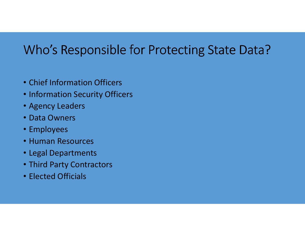## Who's Responsible for Protecting State Data?

- Chief Information Officers
- Information Security Officers
- Agency Leaders
- Data Owners
- Employees
- Human Resources
- Legal Departments
- Third Party Contractors
- Elected Officials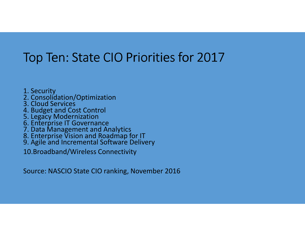## Top Ten: State CIO Priorities for 2017

1. Security

- 2. Consolidation/Optimization
- 3. Cloud Services
- 4. Budget and Cost Control
- 
- 5. Legacy Modernization 6. Enterprise IT Governance
- 7. Data Management and Analytics
- 8. Enterprise Vision and Roadmap for IT
- 9. Agile and Incremental Software Delivery

10.Broadband/Wireless Connectivity

Source: NASCIO State CIO ranking, November 2016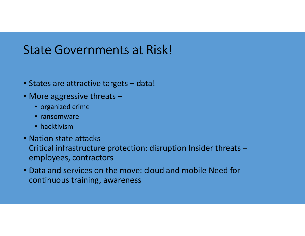### State Governments at Risk!

- States are attractive targets data!
- More aggressive threats –
	- organized crime
	- ransomware
	- hacktivism
- Nation state attacks Critical infrastructure protection: disruption Insider threats –employees, contractors
- Data and services on the move: cloud and mobile Need for continuous training, awareness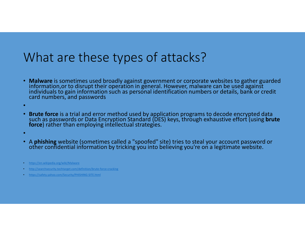### What are these types of attacks?

- Malware is sometimes used broadly against government or corporate websites to gather guarded information, or to disrupt their operation in general. However, malware can be used against individuals to gain information suc
- •
- Brute force is a trial and error method used by application programs to decode encrypted data<br>such as passwords or Data Encryption Standard (DES) keys, through exhaustive effort (using brute<br>force) rather than employing
- •
- <sup>A</sup>**phishing**other confidential information by tricking you into believing you're on a legitimate website.

- •http://searchsecurity.techtarget.com/definition/brute-force-cracking
- https://safety.yahoo.com/Security/PHISHING-SITE.html

https://en.wikipedia.org/wiki/Malware